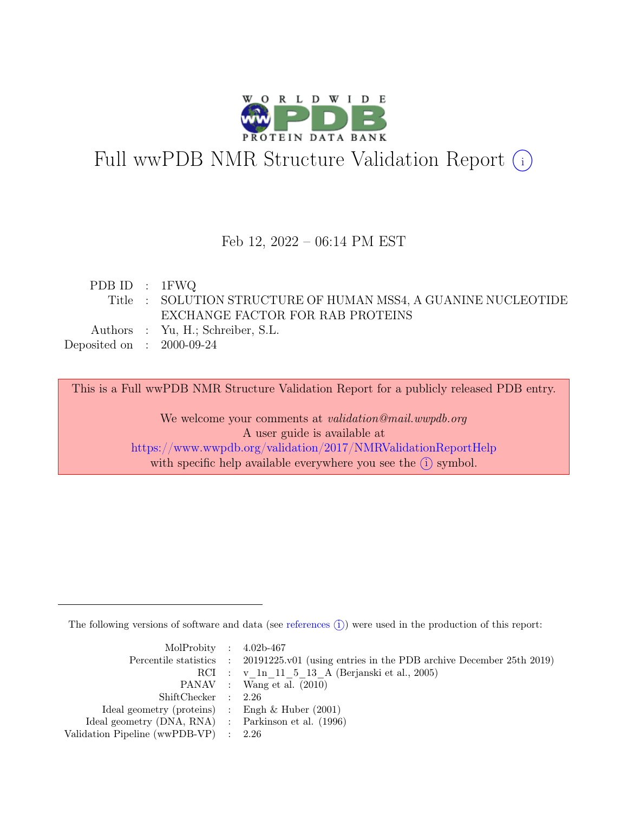

# Full wwPDB NMR Structure Validation Report (i)

#### Feb 12, 2022 – 06:14 PM EST

| PDB ID : $1FWQ$             |                                                                |
|-----------------------------|----------------------------------------------------------------|
|                             | Title : SOLUTION STRUCTURE OF HUMAN MSS4, A GUANINE NUCLEOTIDE |
|                             | EXCHANGE FACTOR FOR RAB PROTEINS                               |
|                             | Authors : Yu, H.; Schreiber, S.L.                              |
| Deposited on : $2000-09-24$ |                                                                |

This is a Full wwPDB NMR Structure Validation Report for a publicly released PDB entry.

We welcome your comments at *validation@mail.wwpdb.org* A user guide is available at <https://www.wwpdb.org/validation/2017/NMRValidationReportHelp> with specific help available everywhere you see the  $(i)$  symbol.

The following versions of software and data (see [references](https://www.wwpdb.org/validation/2017/NMRValidationReportHelp#references)  $\hat{I}$ ) were used in the production of this report:

| MolProbity : $4.02b-467$                            |                                                                                            |
|-----------------------------------------------------|--------------------------------------------------------------------------------------------|
|                                                     | Percentile statistics : 20191225.v01 (using entries in the PDB archive December 25th 2019) |
|                                                     | RCI : v 1n 11 5 13 A (Berjanski et al., 2005)                                              |
|                                                     | PANAV : Wang et al. (2010)                                                                 |
| ShiftChecker : 2.26                                 |                                                                                            |
| Ideal geometry (proteins) : Engh $\&$ Huber (2001)  |                                                                                            |
| Ideal geometry (DNA, RNA) : Parkinson et al. (1996) |                                                                                            |
| Validation Pipeline (wwPDB-VP) $\therefore$ 2.26    |                                                                                            |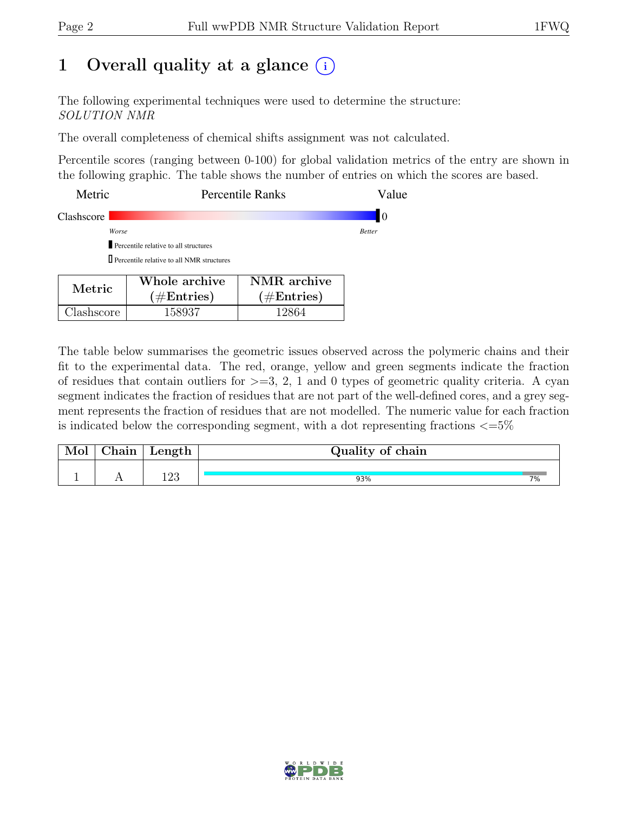### 1 Overall quality at a glance  $(i)$

The following experimental techniques were used to determine the structure: SOLUTION NMR

The overall completeness of chemical shifts assignment was not calculated.

Percentile scores (ranging between 0-100) for global validation metrics of the entry are shown in the following graphic. The table shows the number of entries on which the scores are based.

| Metric     |                                                  | <b>Percentile Ranks</b>                      | Value         |
|------------|--------------------------------------------------|----------------------------------------------|---------------|
| Clashscore |                                                  |                                              | 10            |
|            | Worse                                            |                                              | <b>Better</b> |
|            |                                                  |                                              |               |
|            | $\Box$ Percentile relative to all NMR structures |                                              |               |
| Metric     | Whole archive<br>$(1/\mathbf{E}_{\text{ref}})$   | NMR archive<br>$(1/\mathbf{E}_{\text{ref}})$ |               |

 $(\#\text{Entries})$ 

Clashscore 158937 12864

The table below summarises the geometric issues observed across the polymeric chains and their fit to the experimental data. The red, orange, yellow and green segments indicate the fraction of residues that contain outliers for  $>=$  3, 2, 1 and 0 types of geometric quality criteria. A cyan segment indicates the fraction of residues that are not part of the well-defined cores, and a grey segment represents the fraction of residues that are not modelled. The numeric value for each fraction is indicated below the corresponding segment, with a dot representing fractions  $\epsilon = 5\%$ 

 $(\#\text{Entries})$ 

| Mol | Chain | Length $\vert$ | Quality of chain |  |  |  |
|-----|-------|----------------|------------------|--|--|--|
|     |       | l ດາ<br>⊥∠പ    | 93%              |  |  |  |

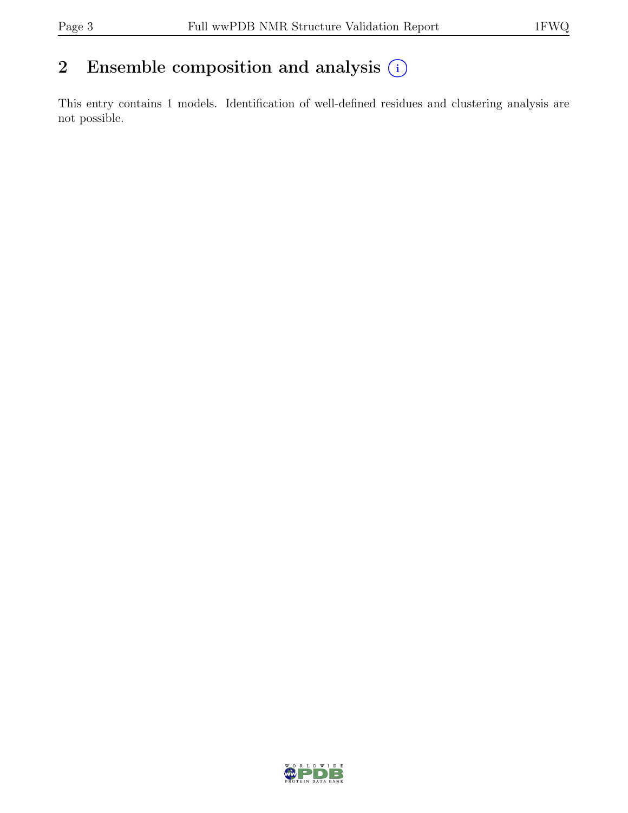### 2 Ensemble composition and analysis  $(i)$

This entry contains 1 models. Identification of well-defined residues and clustering analysis are not possible.

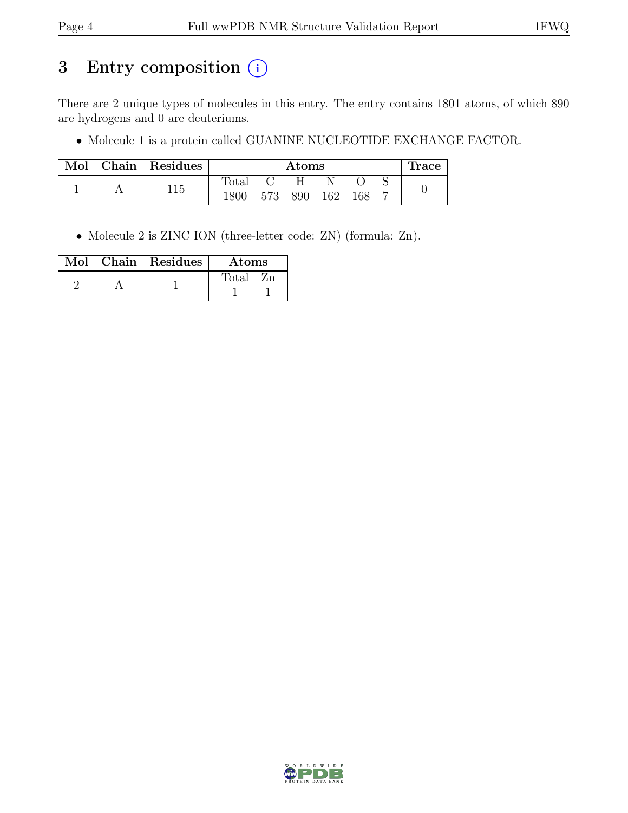## 3 Entry composition (i)

There are 2 unique types of molecules in this entry. The entry contains 1801 atoms, of which 890 are hydrogens and 0 are deuteriums.

• Molecule 1 is a protein called GUANINE NUCLEOTIDE EXCHANGE FACTOR.

| Mol | Chain   Residues | $\rm{Atoms}$ |     |     |     |     | <b>Trace</b> |  |
|-----|------------------|--------------|-----|-----|-----|-----|--------------|--|
|     |                  | Total        |     |     |     |     |              |  |
|     | 115              | 1800         | 573 | 890 | 162 | 168 |              |  |

• Molecule 2 is ZINC ION (three-letter code: ZN) (formula: Zn).

| Mol | Chain   Residues<br>Atoms |        |  |
|-----|---------------------------|--------|--|
|     |                           | Total: |  |
|     |                           |        |  |

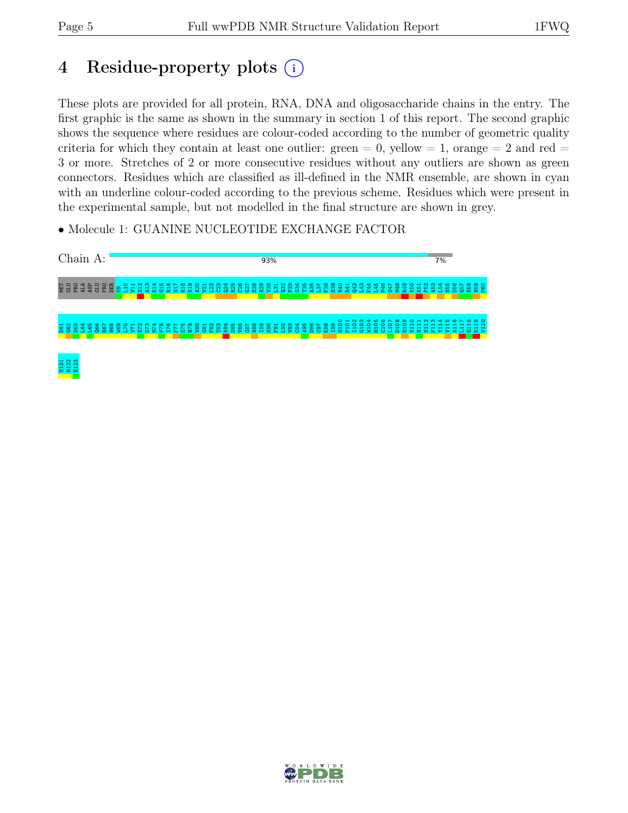## 4 Residue-property plots (i)

These plots are provided for all protein, RNA, DNA and oligosaccharide chains in the entry. The first graphic is the same as shown in the summary in section 1 of this report. The second graphic shows the sequence where residues are colour-coded according to the number of geometric quality criteria for which they contain at least one outlier: green  $= 0$ , yellow  $= 1$ , orange  $= 2$  and red  $=$ 3 or more. Stretches of 2 or more consecutive residues without any outliers are shown as green connectors. Residues which are classified as ill-defined in the NMR ensemble, are shown in cyan with an underline colour-coded according to the previous scheme. Residues which were present in the experimental sample, but not modelled in the final structure are shown in grey.

• Molecule 1: GUANINE NUCLEOTIDE EXCHANGE FACTOR



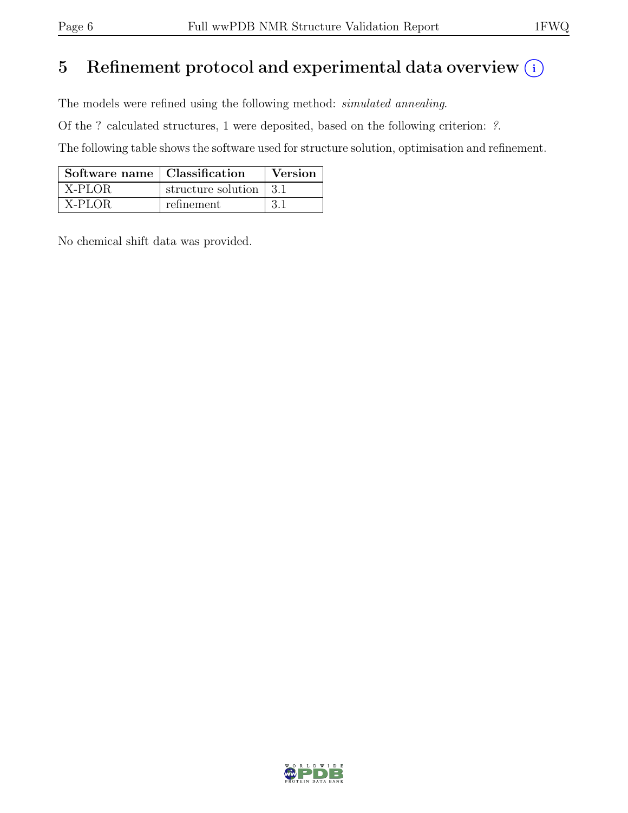## 5 Refinement protocol and experimental data overview  $\binom{1}{k}$

The models were refined using the following method: simulated annealing.

Of the ? calculated structures, 1 were deposited, based on the following criterion: ?.

The following table shows the software used for structure solution, optimisation and refinement.

| Software name   Classification |                                        | Version |
|--------------------------------|----------------------------------------|---------|
| X-PLOR                         | structure solution $\vert 3.1 \rangle$ |         |
| X-PLOR                         | refinement                             | -3.1    |

No chemical shift data was provided.

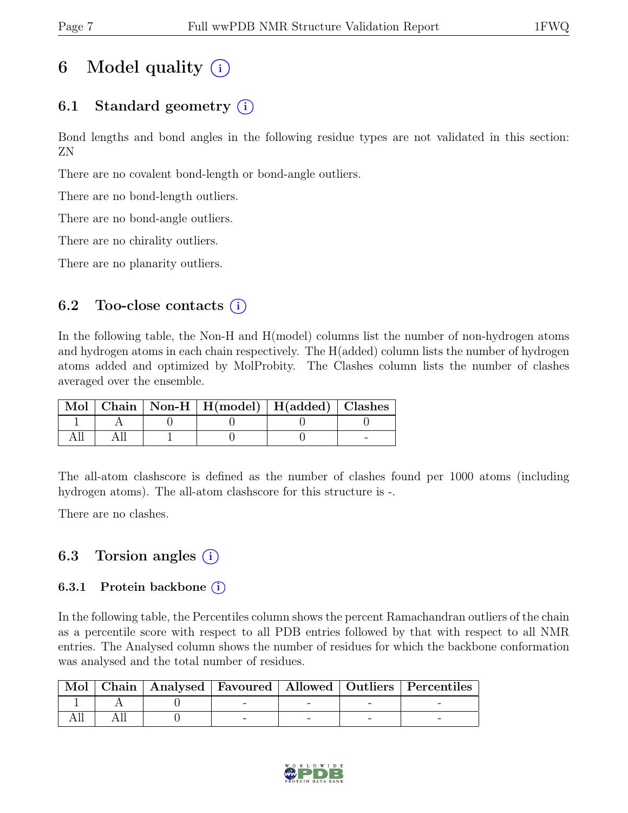## 6 Model quality  $(i)$

### 6.1 Standard geometry  $(i)$

Bond lengths and bond angles in the following residue types are not validated in this section: ZN

There are no covalent bond-length or bond-angle outliers.

There are no bond-length outliers.

There are no bond-angle outliers.

There are no chirality outliers.

There are no planarity outliers.

### 6.2 Too-close contacts  $(i)$

In the following table, the Non-H and H(model) columns list the number of non-hydrogen atoms and hydrogen atoms in each chain respectively. The H(added) column lists the number of hydrogen atoms added and optimized by MolProbity. The Clashes column lists the number of clashes averaged over the ensemble.

|  | Mol   Chain   Non-H   H(model)   H(added)   Clashes |  |
|--|-----------------------------------------------------|--|
|  |                                                     |  |
|  |                                                     |  |

The all-atom clashscore is defined as the number of clashes found per 1000 atoms (including hydrogen atoms). The all-atom clashscore for this structure is -.

There are no clashes.

### 6.3 Torsion angles  $(i)$

#### 6.3.1 Protein backbone  $(i)$

In the following table, the Percentiles column shows the percent Ramachandran outliers of the chain as a percentile score with respect to all PDB entries followed by that with respect to all NMR entries. The Analysed column shows the number of residues for which the backbone conformation was analysed and the total number of residues.

|  |  |  | Mol   Chain   Analysed   Favoured   Allowed   Outliers   Percentiles |
|--|--|--|----------------------------------------------------------------------|
|  |  |  |                                                                      |
|  |  |  |                                                                      |

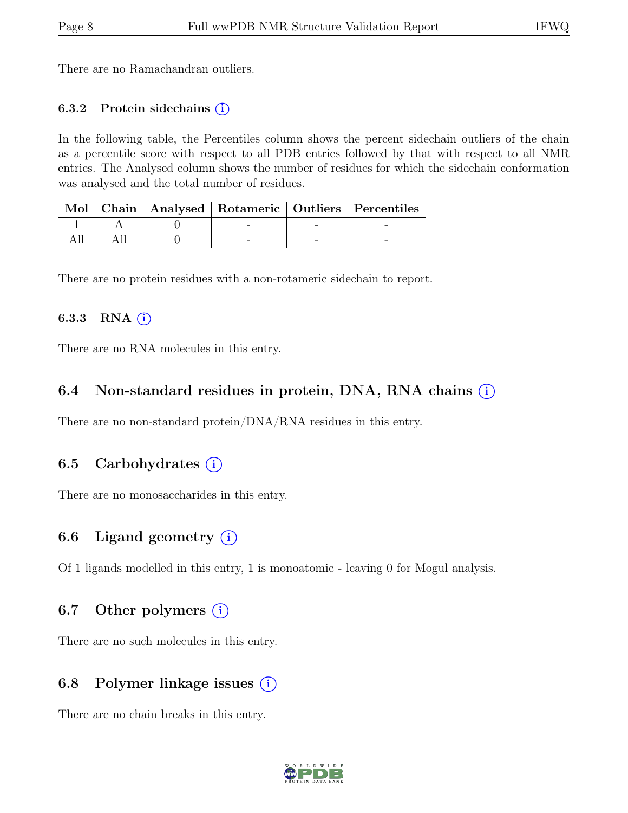There are no Ramachandran outliers.

#### 6.3.2 Protein sidechains  $(i)$

In the following table, the Percentiles column shows the percent sidechain outliers of the chain as a percentile score with respect to all PDB entries followed by that with respect to all NMR entries. The Analysed column shows the number of residues for which the sidechain conformation was analysed and the total number of residues.

|  |  | Mol   Chain   Analysed   Rotameric   Outliers   Percentiles |
|--|--|-------------------------------------------------------------|
|  |  |                                                             |
|  |  |                                                             |

There are no protein residues with a non-rotameric sidechain to report.

#### 6.3.3 RNA $(i)$

There are no RNA molecules in this entry.

#### 6.4 Non-standard residues in protein, DNA, RNA chains (i)

There are no non-standard protein/DNA/RNA residues in this entry.

#### 6.5 Carbohydrates (i)

There are no monosaccharides in this entry.

### 6.6 Ligand geometry  $(i)$

Of 1 ligands modelled in this entry, 1 is monoatomic - leaving 0 for Mogul analysis.

#### 6.7 Other polymers  $(i)$

There are no such molecules in this entry.

#### 6.8 Polymer linkage issues  $(i)$

There are no chain breaks in this entry.